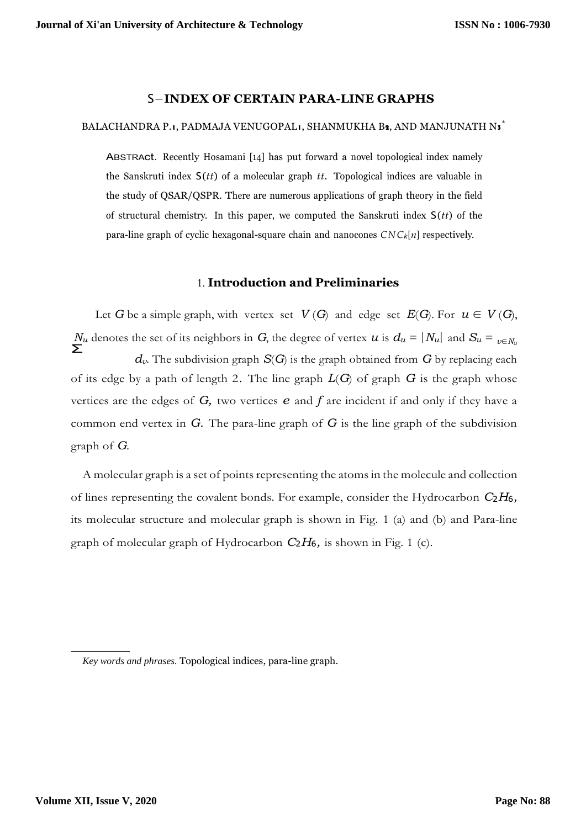## S−**INDEX OF CERTAIN PARA-LINE GRAPHS**

## BALACHANDRA P.1, PADMAJA VENUGOPAL1, SHANMUKHA B2, AND MANJUNATH N3 ้

ABSTRAct. Recently Hosamani [\[14\]](#page-7-0) has put forward a novel topological index namely the Sanskruti index S(*tt*) of a molecular graph *tt*. Topological indices are valuable in the study of QSAR/QSPR. There are numerous applications of graph theory in the field of structural chemistry. In this paper, we computed the Sanskruti index S(*tt*) of the para-line graph of cyclic hexagonal-square chain and nanocones *CNCk*[*n*] respectively.

## 1. **Introduction and Preliminaries**

 $N_u$  denotes the set of its neighbors in *G*, the degree of vertex *u* is  $d_u = |N_u|$  and  $S_u = \sum_{v \in N_u}$ Let *G* be a simple graph, with vertex set  $V(G)$  and edge set  $E(G)$ . For  $u \in V(G)$ , *dv*. The subdivision graph *S*(*G*) is the graph obtained from *G* by replacing each of its edge by a path of length 2*.* The line graph *L*(*G*) of graph *G* is the graph whose vertices are the edges of *G,* two vertices *e* and *f* are incident if and only if they have a common end vertex in *G.* The para-line graph of *G* is the line graph of the subdivision graph of *G*.

A molecular graph is a set of points representing the atomsin the molecule and collection of lines representing the covalent bonds. For example, consider the Hydrocarbon *C*2*H*6*,*  its molecular structure and molecular graph is shown in Fig. [1 \(](#page-1-0)a) and (b) and Para-line graph of molecular graph of Hydrocarbon *C*2*H*6*,* is shown in Fig. [1](#page-1-0) (c).

*Key words and phrases.* Topological indices, para-line graph.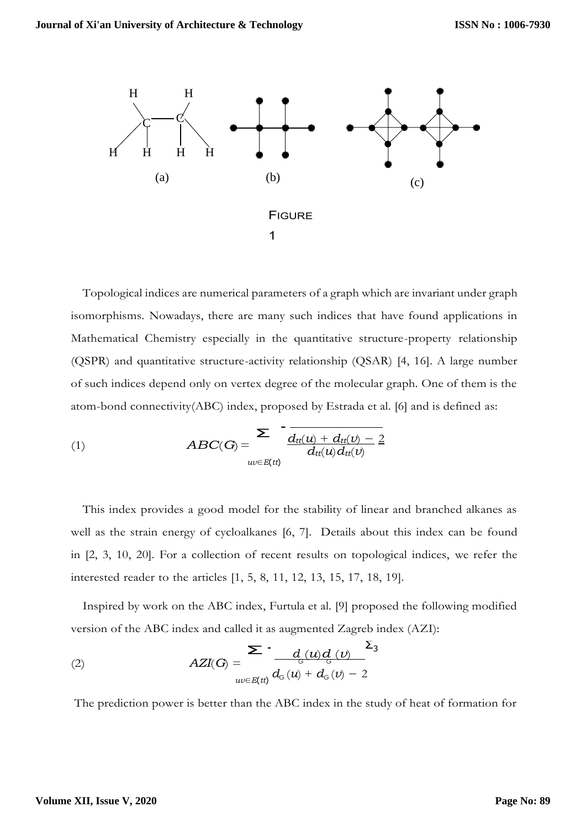<span id="page-1-0"></span>

atom-bond connectivity(ABC) index, proposed by Estrada et al. [\[6\] a](#page-6-1)nd is defined as:<br> $\sum_{n=1}^{\infty}$ Topological indices are numerical parameters of a graph which are invariant under graph isomorphisms. Nowadays, there are many such indices that have found applications in Mathematical Chemistry especially in the quantitative structure-property relationship (QSPR) and quantitative structure-activity relationship (QSAR) [\[4,](#page-6-0) [16\].](#page-7-1) A large number of such indices depend only on vertex degree of the molecular graph. One of them is the

(1) 
$$
ABC(G) = \frac{\sum \frac{d_{tt}(u) + d_{tt}(v) - 2}{d_{tt}(u) + d_{tt}(v) - 2}}{d_{tt}(u) d_{tt}(v)}
$$

This index provides a good model for the stability of linear and branched alkanes as well as the strain energy of cycloalkanes [\[6,](#page-6-1) [7\].](#page-6-2) Details about this index can be found in [\[2,](#page-6-3) [3,](#page-6-4) [10,](#page-7-2) [20\].](#page-7-3) For a collection of recent results on topological indices, we refer the interested reader to the articles [\[1,](#page-6-5) [5,](#page-6-6) [8,](#page-6-7) [11,](#page-7-4) [12,](#page-7-5) [13,](#page-7-6) [15,](#page-7-7) [17,](#page-7-8) [18,](#page-7-9) [19\].](#page-7-10)

version of the ABC index and called it as augmented Zagreb index (AZI):<br> $\sum_{d} a_{d} \frac{\sum_{i=1}^{n} a_{d} a_{d}}{d}$ Inspired by work on the ABC index, Furtula et al. [\[9\] p](#page-6-8)roposed the following modified

(2) 
$$
AZI(G) = \sum_{uv \in E(t)} d_G(u) + d_G(v) - 2
$$

The prediction power is better than the ABC index in the study of heat of formation for

### **Volume XII, Issue V, 2020**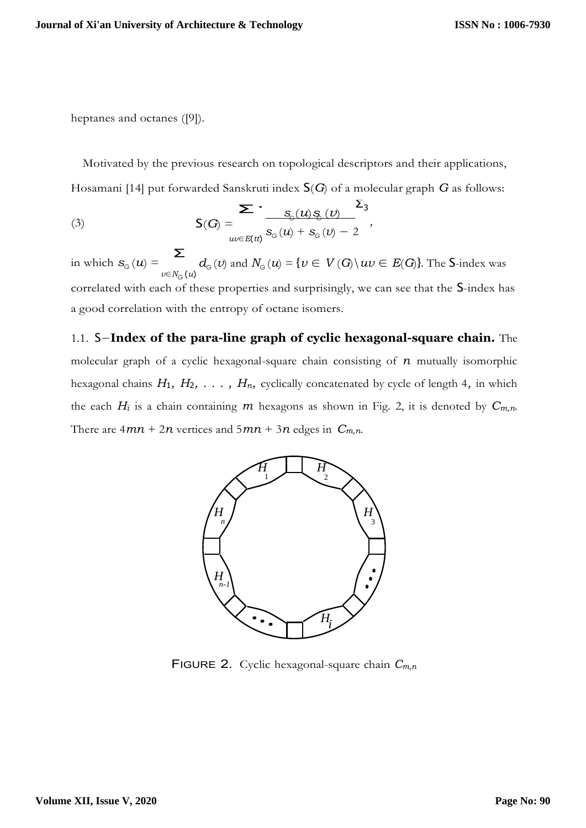heptanes and octanes [\(\[9\]\).](#page-6-8)

Hosamani [\[14\] p](#page-7-0)ut forwarded Sanskruti index  $S(G)$  of a molecular graph *G* as follows:<br> $\sum_{S(G) \subseteq S(G)} \sum_{S(G)} S(G)$ Motivated by the previous research on topological descriptors and their applications,

(3)  

$$
S(G) = \frac{\sum_{w \in E(t)} s_{G}(u) g_{G}(v)}{s_{G}(u) + s_{G}(v) - 2},
$$

Σ in which  $s_G(u)$  = *v*∈*NG* (*u*)  $d_G(v)$  and  $N_G(u) = \{v \in V(G) \mid uv \in E(G)\}\)$ . The S-index was correlated with each of these properties and surprisingly, we can see that the S-index has a good correlation with the entropy of octane isomers.

1.1. S−**Index of the para-line graph of cyclic hexagonal-square chain.** The molecular graph of a cyclic hexagonal-square chain consisting of *n* mutually isomorphic hexagonal chains *H*1*, H*2*, . . . , Hn,* cyclically concatenated by cycle of length 4*,* in which the each  $H_i$  is a chain containing  $m$  hexagons as shown in Fig. [2, i](#page-2-0)t is denoted by  $C_{m,n}$ . There are  $4mn + 2n$  vertices and  $5mn + 3n$  edges in  $C_{m,n}$ .

<span id="page-2-0"></span>

FIGURE 2. Cyclic hexagonal-square chain *Cm,n*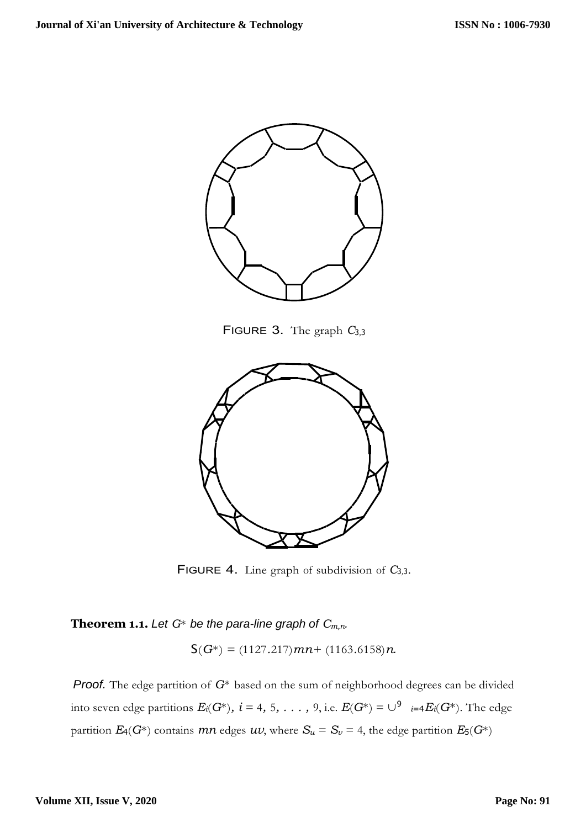

FIGURE 3. The graph *C*<sup>3</sup>*,*<sup>3</sup>



FIGURE 4. Line graph of subdivision of *C*<sup>3</sup>*,*<sup>3</sup>.

**Theorem 1.1.** Let  $G^*$  be the para-line graph of  $C_{m,n}$ .

 $S(G^*) = (1127.217)mn + (1163.6158)n$ .

 $i$ nto seven edge partitions  $E_i(G^*),\ i=4,\ 5,\ \ldots\ ,$  9, i.e.  $E(G^*)=\cup^9$   $_{i=4}E_i(G^*)$ . The edge *Proof.* The edge partition of *G*<sup>∗</sup> based on the sum of neighborhood degrees can be divided partition  $E_4(G^*)$  contains  $mn$  edges  $uv$ , where  $S_u = S_v = 4$ , the edge partition  $E_5(G^*)$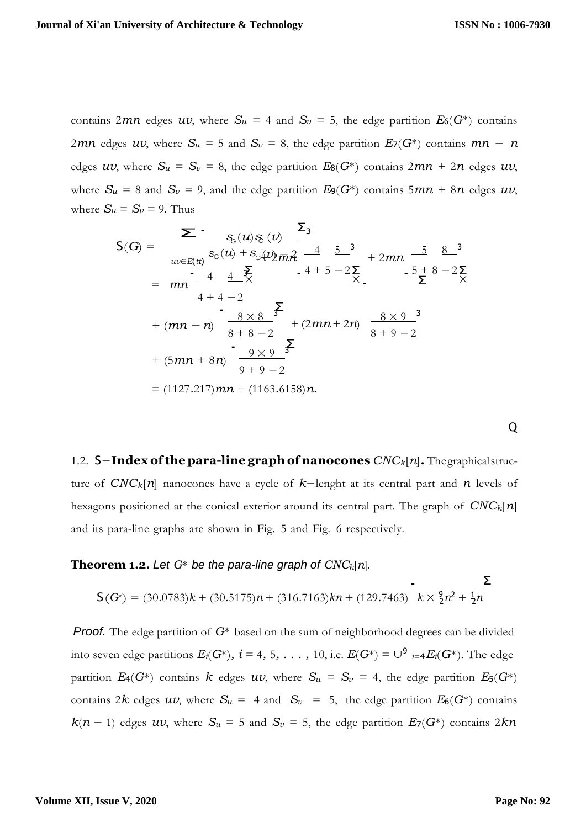contains 2*mn* edges *uv*, where  $S_u = 4$  and  $S_v = 5$ , the edge partition  $E_6(G^*)$  contains 2*mn* edges *uv*, where  $S_u = 5$  and  $S_v = 8$ , the edge partition  $E_7(G^*)$  contains  $mn - n$ edges  $uv$ , where  $S_u = S_v = 8$ , the edge partition  $E_8(G^*)$  contains  $2mn + 2n$  edges  $uv$ , where  $S_u = 8$  and  $S_v = 9$ , and the edge partition  $E_9(G^*)$  contains  $5mn + 8n$  edges  $uv$ , where  $S_u = S_v = 9$ . Thus

$$
S(G) = \sum_{uv \in E(t)} \frac{S_{G}(u)S_{G}(v)}{S_{G}(u) + S_{G}(u)2m\hat{r}} \frac{S_{G}}{m} + 2mn \frac{5}{m} \frac{8}{m} \frac{8}{m} \frac{3}{m}
$$
  
\n
$$
= mn \frac{4}{m} \frac{4}{m} \frac{2}{m} \frac{4}{m} \frac{5}{m} \frac{5}{m} \frac{3}{m} + 2mn \frac{5}{m} \frac{8}{m} \frac{8}{m} \frac{3}{m}
$$
  
\n
$$
+ (mn - n) \frac{8 \times 8}{m} \frac{5}{m} \frac{5}{m} \frac{8 \times 9}{m} \frac{3}{m} \frac{3}{m}
$$
  
\n
$$
+ (5mn + 8n) \frac{9 \times 9}{m} \frac{5}{m} \frac{5}{m} \frac{3}{m}
$$
  
\n
$$
= (1127.217)mn + (1163.6158)n.
$$

Q

Σ

1.2. S−**Index ofthepara-line graphof nanocones** *CNCk*[*n*]**.** Thegraphicalstructure of *CNCk*[*n*] nanocones have a cycle of *k*−lenght at its central part and *n* levels of hexagons positioned at the conical exterior around its central part. The graph of *CNCk*[*n*] and its para-line graphs are shown in Fig. 5 and Fig. 6 respectively.

#### **Theorem 1.2.** Let  $G^*$  be the para-line graph of  $CNC_k[n]$ .

$$
\text{orem 1.2. Let } G^* \text{ be the para-line graph of } CNC_k[n].
$$
\n
$$
\sum_{r=1}^{n} S(G^*) = (30.0783)k + (30.5175)n + (316.7163)kn + (129.7463) \quad k \times \frac{9}{2}n^2 + \frac{1}{2}n
$$

into seven edge partitions  $E_i(G^*),\ i=4,\ 5,\ \ldots\ ,\ 10,$  i.e.  $E(G^*)=\cup^9\ _{i=4}E_i(G^*)$ . The edge *Proof.* The edge partition of *G*<sup>∗</sup> based on the sum of neighborhood degrees can be divided partition  $E_4(G^*)$  contains  $k$  edges  $uv$ , where  $S_u = S_v = 4$ , the edge partition  $E_5(G^*)$ contains 2*k* edges *uv*, where  $S_u = 4$  and  $S_v = 5$ , the edge partition  $E_6(G^*)$  contains  $k(n-1)$  edges  $uv$ , where  $S_u = 5$  and  $S_v = 5$ , the edge partition  $E_7(G^*)$  contains 2 $kn$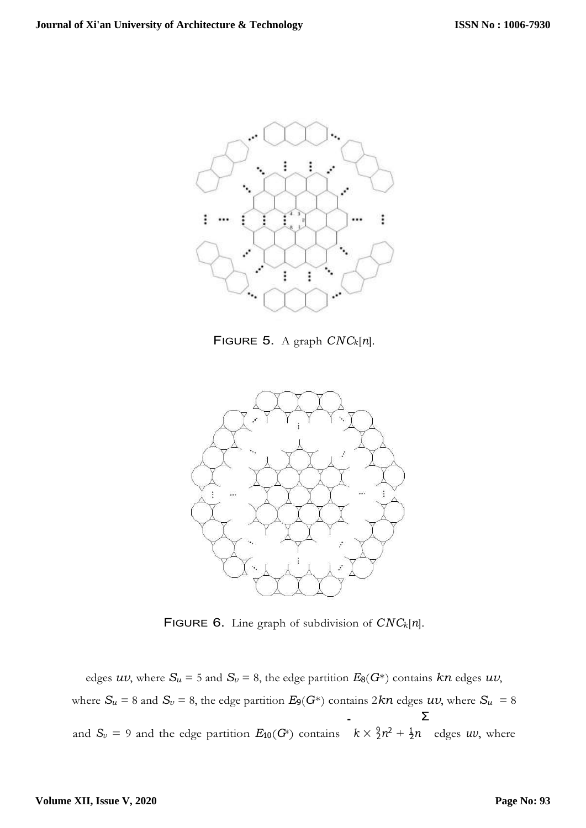

FIGURE 5. A graph *CNCk*[*n*].



FIGURE 6. Line graph of subdivision of *CNCk*[*n*].

and  $S_v = 9$  and the edge partition  $E_{10}(G^*)$  contains  $k \times \frac{9}{2}n^2 + \frac{1}{2}n$  edges *uv*, where edges  $uv$ , where  $S_u = 5$  and  $S_v = 8$ , the edge partition  $E_8(G^*)$  contains  $kn$  edges  $uv$ , where  $S_u = 8$  and  $S_v = 8$ , the edge partition  $E_9(G^*)$  contains  $2kn$  edges  $uv$ , where  $S_u = 8$ <br> $\sum$ Σ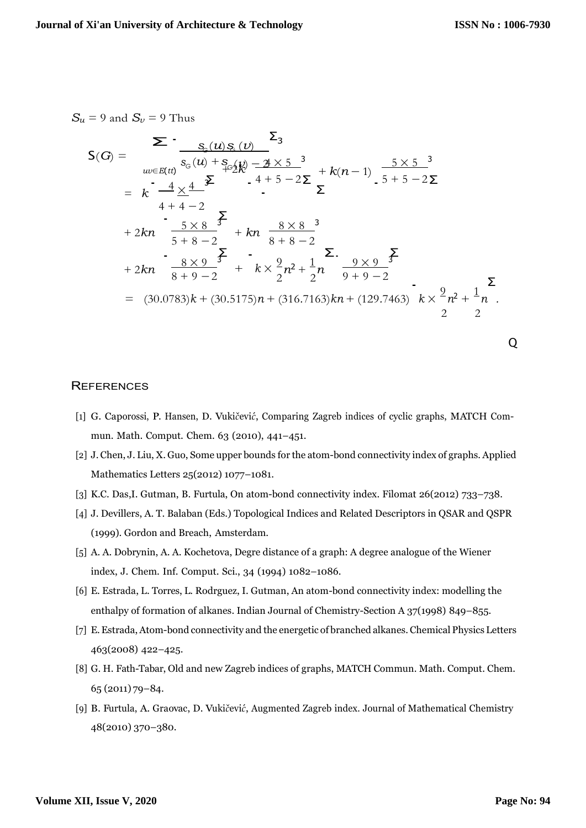$S_u = 9$  and  $S_v = 9$  Thus<br> $\sum$ 

$$
S(G) = \sum_{uv \in E(t)} \frac{S_{c}(u) S_{c}(v)}{S_{c}(u) + S_{c}(u)} = \frac{Z_{3}}{4 + 5 - 2\Sigma} + k(n - 1) \frac{5 \times 5^{-3}}{5 + 5 - 2\Sigma}
$$
  
\n
$$
= k \frac{-4 \times 4}{4 + 4 - 2} + 2kn \frac{5 \times 8^{-3}}{5 + 8 - 2} + kn \frac{8 \times 8^{-3}}{8 + 8 - 2}
$$
  
\n
$$
+ 2kn \frac{8 \times 9^{-3}}{8 + 9 - 2} + k \times \frac{9}{2}n^{2} + \frac{1}{2}n \frac{9 \times 9^{-3}}{9 + 9 - 2}
$$
  
\n
$$
= (30.0783)k + (30.5175)n + (316.7163)kn + (129.7463)k \times \frac{9}{2}n^{2} + \frac{1}{2}n
$$

 $\overline{ }$ 

# <span id="page-6-7"></span><span id="page-6-4"></span><span id="page-6-1"></span>Q

#### **REFERENCES**

- <span id="page-6-5"></span>[1] G. Caporossi, P. Hansen, D. Vuki*čević*, Comparing Zagreb indices of cyclic graphs, MATCH Commun. Math. Comput. Chem. 63 (2010), 441–451.
- <span id="page-6-3"></span>[2] J. Chen, J. Liu, X. Guo, Some upper bounds for the atom-bond connectivity index of graphs. Applied Mathematics Letters 25(2012) 1077–1081.
- [3] K.C. Das,I. Gutman, B. Furtula, On atom-bond connectivity index. Filomat 26(2012) 733–738.
- <span id="page-6-0"></span>[4] J. Devillers, A. T. Balaban (Eds.) Topological Indices and Related Descriptors in QSAR and QSPR (1999). Gordon and Breach, Amsterdam.
- <span id="page-6-6"></span>[5] A. A. Dobrynin, A. A. Kochetova, Degre distance of a graph: A degree analogue of the Wiener index, J. Chem. Inf. Comput. Sci., 34 (1994) 1082–1086.
- [6] E. Estrada, L. Torres, L. Rodrguez, I. Gutman, An atom-bond connectivity index: modelling the enthalpy of formation of alkanes. Indian Journal of Chemistry-Section A 37(1998) 849–855.
- <span id="page-6-2"></span>[7] E.Estrada,Atom-bond connectivity and the energetic of branched alkanes. Chemical Physics Letters 463(2008) 422–425.
- [8] G. H. Fath-Tabar, Old and new Zagreb indices of graphs, MATCH Commun. Math. Comput. Chem. 65 (2011) 79–84.
- <span id="page-6-8"></span>[9] B. Furtula, A. Graovac, D. Vukičević, Augmented Zagreb index. Journal of Mathematical Chemistry 48(2010) 370–380.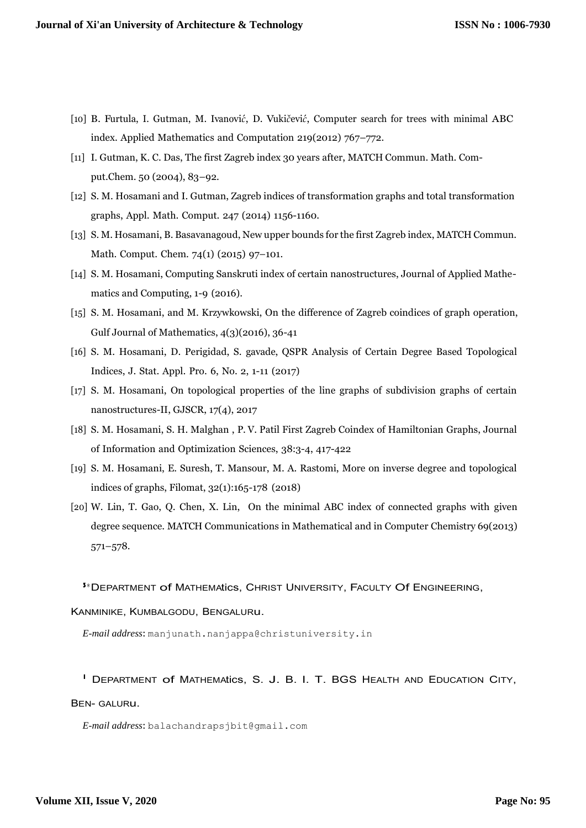- <span id="page-7-2"></span>[10] B. Furtula, I. Gutman, M. Ivanović, D. Vukičević, Computer search for trees with minimal ABC index. Applied Mathematics and Computation 219(2012) 767–772.
- <span id="page-7-4"></span>[11] I. Gutman, K. C. Das, The first Zagreb index 30 years after, MATCH Commun. Math. Comput.Chem. 50 (2004), 83–92.
- <span id="page-7-5"></span>[12] S. M. Hosamani and I. Gutman, Zagreb indices of transformation graphs and total transformation graphs, Appl. Math. Comput. 247 (2014) 1156-1160.
- <span id="page-7-6"></span>[13] S. M. Hosamani, B. Basavanagoud, New upper bounds for the first Zagreb index, MATCH Commun. Math. Comput. Chem. 74(1) (2015) 97–101.
- <span id="page-7-7"></span><span id="page-7-0"></span>[14] S. M. Hosamani, Computing Sanskruti index of certain nanostructures, Journal of Applied Mathematics and Computing, 1-9 (2016).
- [15] S. M. Hosamani, and M. Krzywkowski, On the difference of Zagreb coindices of graph operation, Gulf Journal of Mathematics, 4(3)(2016), 36-41
- <span id="page-7-8"></span><span id="page-7-1"></span>[16] S. M. Hosamani, D. Perigidad, S. gavade, QSPR Analysis of Certain Degree Based Topological Indices, J. Stat. Appl. Pro. 6, No. 2, 1-11 (2017)
- [17] S. M. Hosamani, On topological properties of the line graphs of subdivision graphs of certain nanostructures-II, GJSCR, 17(4), 2017
- <span id="page-7-10"></span><span id="page-7-9"></span>[18] S. M. Hosamani, S. H. Malghan , P. V. Patil First Zagreb Coindex of Hamiltonian Graphs, Journal of Information and Optimization Sciences, 38:3-4, 417-422
- <span id="page-7-3"></span>[19] S. M. Hosamani, E. Suresh, T. Mansour, M. A. Rastomi, More on inverse degree and topological indices of graphs, Filomat, 32(1):165-178 (2018)
- [20] W. Lin, T. Gao, Q. Chen, X. Lin, On the minimal ABC index of connected graphs with given degree sequence. MATCH Communications in Mathematical and in Computer Chemistry 69(2013) 571–578.

<sup>3</sup>∗DEPARTMENT of MATHEMAtics, CHRIST UNIVERSITY, FACULTY Of ENGINEERING,

KANMINIKE, KUMBALGODU, BENGALURu.

*E-mail address*: [manjunath.nanjappa@christuniversity.in](mailto:manjunath.nanjappa@christuniversity.in)

<sup>1</sup>DEPARTMENT of MATHEMAtics, S. J. B. I. T. BGS HEALTH AND EDUCATION CITY,

#### BEN- GALURu.

*E-mail address*: [balachandrapsjbit@gmail.com](mailto:balachandrapsjbit@gmail.com)